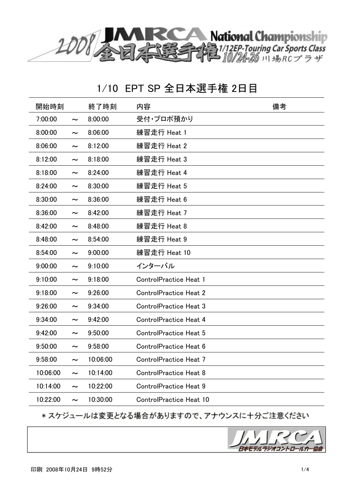

| 開始時刻     |                       | 終了時刻     | 内容                             | 備考 |
|----------|-----------------------|----------|--------------------------------|----|
| 7:00:00  | $\tilde{\phantom{a}}$ | 8:00:00  | 受付・プロポ預かり                      |    |
| 8:00:00  | $\tilde{\phantom{a}}$ | 8:06:00  | 練習走行 Heat 1                    |    |
| 8:06:00  | $\tilde{\phantom{a}}$ | 8:12:00  | 練習走行 Heat 2                    |    |
| 8:12:00  | $\tilde{\phantom{a}}$ | 8:18:00  | 練習走行 Heat 3                    |    |
| 8:18:00  | $\tilde{\phantom{a}}$ | 8:24:00  | 練習走行 Heat 4                    |    |
| 8:24:00  | $\tilde{\phantom{a}}$ | 8:30:00  | 練習走行 Heat 5                    |    |
| 8:30:00  | $\tilde{\phantom{a}}$ | 8:36:00  | 練習走行 Heat 6                    |    |
| 8:36:00  | $\tilde{\phantom{a}}$ | 8:42:00  | 練習走行 Heat 7                    |    |
| 8:42:00  | $\tilde{}$            | 8:48:00  | 練習走行 Heat 8                    |    |
| 8:48:00  | $\tilde{\phantom{a}}$ | 8:54:00  | 練習走行 Heat 9                    |    |
| 8:54:00  | $\tilde{\phantom{a}}$ | 9:00:00  | 練習走行 Heat 10                   |    |
| 9:00:00  | $\tilde{\phantom{a}}$ | 9:10:00  | インターバル                         |    |
| 9:10:00  | $\tilde{\phantom{a}}$ | 9:18:00  | <b>ControlPractice Heat 1</b>  |    |
| 9:18:00  | $\tilde{}$            | 9:26:00  | <b>ControlPractice Heat 2</b>  |    |
| 9:26:00  | $\tilde{\phantom{a}}$ | 9:34:00  | <b>ControlPractice Heat 3</b>  |    |
| 9:34:00  | $\tilde{\phantom{a}}$ | 9:42:00  | <b>ControlPractice Heat 4</b>  |    |
| 9:42:00  | $\tilde{\phantom{a}}$ | 9:50:00  | <b>ControlPractice Heat 5</b>  |    |
| 9:50:00  | $\tilde{\phantom{a}}$ | 9:58:00  | ControlPractice Heat 6         |    |
| 9:58:00  | $\tilde{\phantom{a}}$ | 10:06:00 | ControlPractice Heat 7         |    |
| 10:06:00 | $\tilde{\phantom{a}}$ | 10:14:00 | <b>ControlPractice Heat 8</b>  |    |
| 10:14:00 | $\tilde{\phantom{a}}$ | 10:22:00 | <b>ControlPractice Heat 9</b>  |    |
| 10:22:00 | $\tilde{\phantom{a}}$ | 10:30:00 | <b>ControlPractice Heat 10</b> |    |

\* スケジュールは変更となる場合がありますので、アナウンスに十分ご注意ください

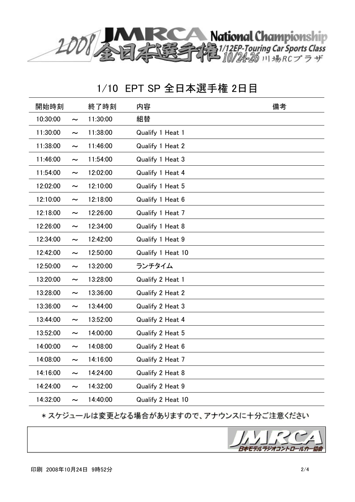

| 開始時刻     |                       | 終了時刻     | 内容                | 備考 |
|----------|-----------------------|----------|-------------------|----|
| 10:30:00 | $\tilde{\phantom{a}}$ | 11:30:00 | 組替                |    |
| 11:30:00 | $\thicksim$           | 11:38:00 | Qualify 1 Heat 1  |    |
| 11:38:00 | $\tilde{}$            | 11:46:00 | Qualify 1 Heat 2  |    |
| 11:46:00 | $\thicksim$           | 11:54:00 | Qualify 1 Heat 3  |    |
| 11:54:00 | $\tilde{\phantom{a}}$ | 12:02:00 | Qualify 1 Heat 4  |    |
| 12:02:00 | $\tilde{\phantom{a}}$ | 12:10:00 | Qualify 1 Heat 5  |    |
| 12:10:00 | $\thicksim$           | 12:18:00 | Qualify 1 Heat 6  |    |
| 12:18:00 | $\tilde{\phantom{a}}$ | 12:26:00 | Qualify 1 Heat 7  |    |
| 12:26:00 | $\tilde{}$            | 12:34:00 | Qualify 1 Heat 8  |    |
| 12:34:00 | $\thicksim$           | 12:42:00 | Qualify 1 Heat 9  |    |
| 12:42:00 | $\tilde{\phantom{a}}$ | 12:50:00 | Qualify 1 Heat 10 |    |
| 12:50:00 | $\tilde{\phantom{a}}$ | 13:20:00 | ランチタイム            |    |
| 13:20:00 | $\tilde{\phantom{m}}$ | 13:28:00 | Qualify 2 Heat 1  |    |
| 13:28:00 | $\tilde{\phantom{a}}$ | 13:36:00 | Qualify 2 Heat 2  |    |
| 13:36:00 | $\tilde{}$            | 13:44:00 | Qualify 2 Heat 3  |    |
| 13:44:00 | $\tilde{\phantom{a}}$ | 13:52:00 | Qualify 2 Heat 4  |    |
| 13:52:00 | $\tilde{\phantom{a}}$ | 14:00:00 | Qualify 2 Heat 5  |    |
| 14:00:00 | $\tilde{\phantom{a}}$ | 14:08:00 | Qualify 2 Heat 6  |    |
| 14:08:00 | $\tilde{\phantom{a}}$ | 14:16:00 | Qualify 2 Heat 7  |    |
| 14:16:00 | $\tilde{\phantom{a}}$ | 14:24:00 | Qualify 2 Heat 8  |    |
| 14:24:00 | $\tilde{\phantom{a}}$ | 14:32:00 | Qualify 2 Heat 9  |    |
| 14:32:00 | $\tilde{\phantom{a}}$ | 14:40:00 | Qualify 2 Heat 10 |    |

\* スケジュールは変更となる場合がありますので、アナウンスに十分ご注意ください

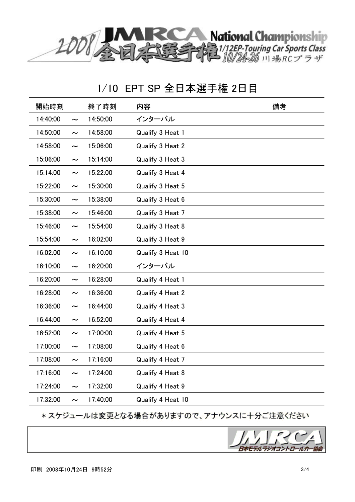

| 開始時刻     |                       | 終了時刻     | 内容                | 備考 |
|----------|-----------------------|----------|-------------------|----|
| 14:40:00 | $\thicksim$           | 14:50:00 | インターバル            |    |
| 14:50:00 | $\tilde{\phantom{m}}$ | 14:58:00 | Qualify 3 Heat 1  |    |
| 14:58:00 | $\tilde{\phantom{a}}$ | 15:06:00 | Qualify 3 Heat 2  |    |
| 15:06:00 | $\tilde{\phantom{m}}$ | 15:14:00 | Qualify 3 Heat 3  |    |
| 15:14:00 | $\tilde{\phantom{a}}$ | 15:22:00 | Qualify 3 Heat 4  |    |
| 15:22:00 | $\tilde{\phantom{a}}$ | 15:30:00 | Qualify 3 Heat 5  |    |
| 15:30:00 | $\tilde{\phantom{m}}$ | 15:38:00 | Qualify 3 Heat 6  |    |
| 15:38:00 | $\tilde{\phantom{a}}$ | 15:46:00 | Qualify 3 Heat 7  |    |
| 15:46:00 | $\thicksim$           | 15:54:00 | Qualify 3 Heat 8  |    |
| 15:54:00 | $\thicksim$           | 16:02:00 | Qualify 3 Heat 9  |    |
| 16:02:00 | $\tilde{\phantom{a}}$ | 16:10:00 | Qualify 3 Heat 10 |    |
| 16:10:00 | $\tilde{\phantom{a}}$ | 16:20:00 | インターバル            |    |
| 16:20:00 | $\tilde{\phantom{m}}$ | 16:28:00 | Qualify 4 Heat 1  |    |
| 16:28:00 | $\tilde{\phantom{a}}$ | 16:36:00 | Qualify 4 Heat 2  |    |
| 16:36:00 | $\tilde{\phantom{a}}$ | 16:44:00 | Qualify 4 Heat 3  |    |
| 16:44:00 | $\tilde{\phantom{a}}$ | 16:52:00 | Qualify 4 Heat 4  |    |
| 16:52:00 | $\tilde{\phantom{a}}$ | 17:00:00 | Qualify 4 Heat 5  |    |
| 17:00:00 | $\tilde{\phantom{m}}$ | 17:08:00 | Qualify 4 Heat 6  |    |
| 17:08:00 | $\tilde{\phantom{a}}$ | 17:16:00 | Qualify 4 Heat 7  |    |
| 17:16:00 | $\tilde{\phantom{a}}$ | 17:24:00 | Qualify 4 Heat 8  |    |
| 17:24:00 | $\tilde{\phantom{a}}$ | 17:32:00 | Qualify 4 Heat 9  |    |
| 17:32:00 | $\tilde{\phantom{a}}$ | 17:40:00 | Qualify 4 Heat 10 |    |

\* スケジュールは変更となる場合がありますので、アナウンスに十分ご注意ください